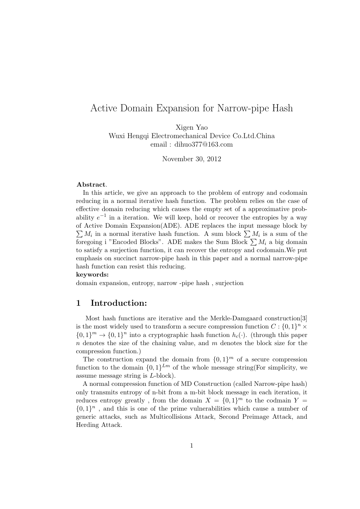# Active Domain Expansion for Narrow-pipe Hash

Xigen Yao Wuxi Hengqi Electromechanical Device Co.Ltd.China email : dihuo377@163.com

November 30, 2012

#### Abstract.

In this article, we give an approach to the problem of entropy and codomain reducing in a normal iterative hash function. The problem relies on the case of effective domain reducing which causes the empty set of a approximative probability  $e^{-1}$  in a iteration. We will keep, hold or recover the entropies by a way of Active Domain Expansion(ADE). ADE replaces the input message block by  $\sum M_i$  in a normal iterative hash function. A sum block  $\sum M_i$  is a sum of the foregoing i "Encoded Blocks". ADE makes the Sum Block  $\sum M_i$  a big domain to satisfy a surjection function, it can recover the entropy and codomain.We put emphasis on succinct narrow-pipe hash in this paper and a normal narrow-pipe hash function can resist this reducing.

#### keywords:

domain expansion, entropy, narrow -pipe hash , surjection

### 1 Introduction:

Most hash functions are iterative and the Merkle-Damgaard construction[3] is the most widely used to transform a secure compression function  $C: \{0,1\}^n \times$  $\{0,1\}^m \to \{0,1\}^n$  into a cryptographic hash function  $h_c(\cdot)$ . (through this paper  $n$  denotes the size of the chaining value, and  $m$  denotes the block size for the compression function.)

The construction expand the domain from  $\{0,1\}^m$  of a secure compression function to the domain  ${0,1}^{Lm}$  of the whole message string(For simplicity, we assume message string is L-block).

A normal compression function of MD Construction (called Narrow-pipe hash) only transmits entropy of n-bit from a m-bit block message in each iteration, it reduces entropy greatly, from the domain  $X = \{0,1\}^m$  to the codmain  $Y =$  $\{0,1\}^n$ , and this is one of the prime vulnerabilities which cause a number of generic attacks, such as Multicollisions Attack, Second Preimage Attack, and Herding Attack.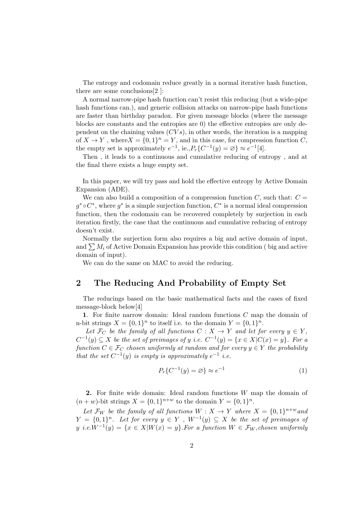The entropy and codomain reduce greatly in a normal iterative hash function, there are some conclusions[2 ]:

A normal narrow-pipe hash function can't resist this reducing (but a wide-pipe hash functions can.), and generic collision attacks on narrow-pipe hash functions are faster than birthday paradox. For given message blocks (where the message blocks are constants and the entropies are 0) the effective entropies are only dependent on the chaining values  $(CVs)$ , in other words, the iteration is a mapping of  $X \to Y$ , where  $X = \{0,1\}^n = Y$ , and in this case, for compression function C, the empty set is approximately  $e^{-1}$ , ie.,  $P_r\{C^{-1}(y) = \emptyset\} \approx e^{-1}[4]$ .

Then , it leads to a continuous and cumulative reducing of entropy , and at the final there exists a huge empty set.

In this paper, we will try pass and hold the effective entropy by Active Domain Expansion (ADE).

We can also build a composition of a compression function  $C$ , such that:  $C =$  $g^* \circ C^*$ , where  $g^*$  is a simple surjection function,  $C^*$  is a normal ideal compression function, then the codomain can be recovered completely by surjection in each iteration firstly, the case that the continuous and cumulative reducing of entropy doesn't exist.

Normally the surjection form also requires a big and active domain of input, and  $\sum M_i$  of Active Domain Expansion has provide this condition ( big and active domain of input).

We can do the same on MAC to avoid the reducing.

#### 2 The Reducing And Probability of Empty Set

The reducings based on the basic mathematical facts and the cases of fixed message-block below[4]

1. For finite narrow domain: Ideal random functions C map the domain of n-bit strings  $X = \{0, 1\}^n$  to itself i.e. to the domain  $Y = \{0, 1\}^n$ .

Let  $\mathcal{F}_C$  be the family of all functions  $C : X \to Y$  and let for every  $y \in Y$ ,  $C^{-1}(y) \subseteq X$  be the set of preimages of y i.e.  $C^{-1}(y) = \{x \in X | C(x) = y\}$ . For a function  $C \in \mathcal{F}_C$  chosen uniformly at random and for every  $y \in Y$  the probability that the set  $C^{-1}(y)$  is empty is approximately  $e^{-1}$  i.e.

$$
P_r\{C^{-1}(y) = \varnothing\} \approx e^{-1}
$$
\n(1)

**2.** For finite wide domain: Ideal random functions  $W$  map the domain of  $(n + w)$ -bit strings  $X = \{0, 1\}^{n+w}$  to the domain  $Y = \{0, 1\}^n$ .

Let  $\mathcal{F}_W$  be the family of all functions  $W : X \to Y$  where  $X = \{0,1\}^{n+w}$  and  $Y = \{0,1\}^n$ . Let for every  $y \in Y$ ,  $W^{-1}(y) \subseteq X$  be the set of preimages of  $y \text{ i.e.} W^{-1}(y) = \{x \in X | W(x) = y\}.$  For a function  $W \in \mathcal{F}_W$ , chosen uniformly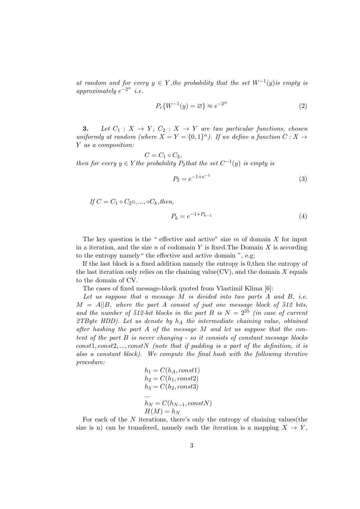at random and for every  $y \in Y$ , the probability that the set  $W^{-1}(y)$  is empty is approximately  $e^{-2w}$  i.e.

$$
P_r\{W^{-1}(y) = \varnothing\} \approx e^{-2^w} \tag{2}
$$

3. Let  $C_1: X \to Y$ ,  $C_2: X \to Y$  are two particular functions, chosen uniformly at random (where  $X = Y = \{0,1\}^n$ ). If we define a function  $C: X \rightarrow$ Y as a composition:

 $C = C_1 \circ C_2$ , then for every  $y \in Y$  the probability  $P_2$  that the set  $C^{-1}(y)$  is empty is

$$
P_2 = e^{-1 + e^{-1}} \tag{3}
$$

If  $C = C_1 \circ C_2 \circ \ldots \circ C_k$ , then,

$$
P_k = e^{-1 + P_{k-1}} \tag{4}
$$

The key question is the " effective and active" size  $m$  of domain  $X$  for input in a iteration, and the size  $n$  of codomain Y is fixed. The Domain X is according to the entropy namely" the effective and active domain ", e.g:

If the last block is a fixed addition namely the entropy is 0,then the entropy of the last iteration only relies on the chaining value  $(CV)$ , and the domain X equals to the domain of CV.

The cases of fixed message-block quoted from Vlastimil Klima [6]:

Let us suppose that a message  $M$  is divided into two parts  $A$  and  $B$ , i.e.  $M = A||B$ , where the part A consist of just one message block of 512 bits, and the number of 512-bit blocks in the part B is  $N = 2^{35}$  (in case of current 2TByte HDD). Let us denote by  $h_A$  the intermediate chaining value, obtained after hashing the part A of the message M and let us suppose that the content of the part B is never changing - so it consists of constant message blocks  $const1, const2, ..., constN$  (note that if padding is a part of the definition, it is also a constant block). We compute the final hash with the following iterative procedure:

$$
h_1 = C(h_A, const1)
$$
  
\n
$$
h_2 = C(h_1, const2)
$$
  
\n
$$
h_3 = C(h_2, const3)
$$
  
\n...  
\n
$$
h_N = C(h_{N-1}, constN)
$$
  
\n
$$
H(M) = h_N
$$

For each of the  $N$  iterations, there's only the entropy of chaining values (the size is n) can be transferred, namely each the iteration is a mapping  $X \to Y$ ,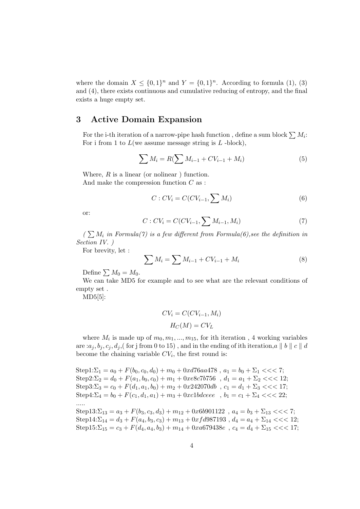where the domain  $X \leq \{0,1\}^n$  and  $Y = \{0,1\}^n$ . According to formula (1), (3) and (4), there exists continuous and cumulative reducing of entropy, and the final exists a huge empty set.

#### 3 Active Domain Expansion

For the i-th iteration of a narrow-pipe hash function, define a sum block  $\sum M_i$ : For i from 1 to  $L$  (we assume message string is  $L$  -block),

$$
\sum M_i = R(\sum M_{i-1} + CV_{i-1} + M_i)
$$
\n(5)

Where,  $R$  is a linear (or nolinear) function. And make the compression function C as :

$$
C: CV_i = C(CV_{i-1}, \sum M_i)
$$
\n
$$
(6)
$$

or:

$$
C: CV_i = C(CV_{i-1}, \sum M_{i-1}, M_i)
$$
\n(7)

 $\sum_{i} M_i$  in Formula(7) is a few different from Formula(6), see the definition in Section IV. )

For brevity, let :

$$
\sum M_i = \sum M_{i-1} + CV_{i-1} + M_i \tag{8}
$$

Define  $\sum M_0 = M_0$ .

We can take MD5 for example and to see what are the relevant conditions of empty set .

MD5[5]:

$$
CV_i = C(CV_{i-1}, M_i)
$$

$$
H_C(M) = CV_L
$$

where  $M_i$  is made up of  $m_0, m_1, ..., m_{15}$ , for ith iteration, 4 working variables are  $:a_j, b_j, c_j, d_j$ , (for j from 0 to 15), and in the ending of ith iteration,  $a \parallel b \parallel c \parallel d$ become the chaining variable  $CV_i$ , the first round is:

 $Step 1:\Sigma_1 = a_0 + F(b_0, c_0, d_0) + m_0 + 0xd76aa478$ ,  $a_1 = b_0 + \Sigma_1 \ll \ll 7$ ;  $Step2:\Sigma_2 = d_0 + F(a_1, b_0, c_0) + m_1 + 0xe8c7b756$ ,  $d_1 = a_1 + \Sigma_2 \ll 12$ ; Step3:  $\Sigma_3 = c_0 + F(d_1, a_1, b_0) + m_2 + 0x^2 + 2070db$ ,  $c_1 = d_1 + \Sigma_3$  < < 17; Step4:  $\Sigma_4 = b_0 + F(c_1, d_1, a_1) + m_3 + 0 \cdot x$ c1bdceee,  $b_1 = c_1 + \Sigma_4 \ll 2$ ; .....

Step13:  $\Sigma_{13} = a_3 + F(b_3, c_3, d_3) + m_{12} + 0x6b901122$ ,  $a_4 = b_3 + \Sigma_{13}$  < < 7; Step14:  $\Sigma_{14} = d_3 + F(a_4, b_3, c_3) + m_{13} + 0xfd987193$ ,  $d_4 = a_4 + \Sigma_{14}$  < < 12;  $Step 15: \Sigma_{15} = c_3 + F(d_4, a_4, b_3) + m_{14} + 0xa679438e$ ,  $c_4 = d_4 + \Sigma_{15}$  < < 17;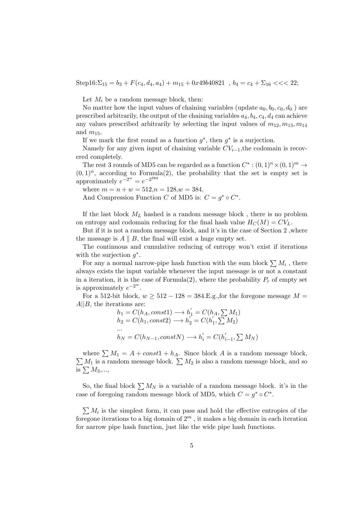Step16:  $\Sigma_{15} = b_3 + F(c_4, d_4, a_4) + m_{15} + 0x49b40821$ ,  $b_4 = c_4 + \Sigma_{16}$  < < 22;

Let  $M_i$  be a random message block, then:

No matter how the input values of chaining variables (update  $a_0, b_0, c_0, d_0$ ) are prescribed arbitrarily, the output of the chaining variables  $a_4$ ,  $b_4$ ,  $c_4$ ,  $d_4$  can achieve any values prescribed arbitrarily by selecting the input values of  $m_{12}, m_{13}, m_{14}$ and  $m_{15}$ .

If we mark the first round as a function  $g^*$ , then  $g^*$  is a surjection.

Namely for any given input of chaining variable  $CV_{i-1}$ , the codomain is recovered completely.

The rest 3 rounds of MD5 can be regarded as a function  $C^* : (0,1)^n \times (0,1)^m \rightarrow$  $(0,1)^n$ , according to Formula(2), the probability that the set is empty set is approximately  $e^{-2^w} = e^{-2^{384}}$ 

where  $m = n + w = 512, n = 128, w = 384.$ 

And Compression Function C of MD5 is:  $C = g^* \circ C^*$ .

If the last block  $M_L$  hashed is a random message block, there is no problem on entropy and codomain reducing for the final hash value  $H_C(M) = CV_L$ .

But if it is not a random message block, and it's in the case of Section 2 ,where the massage is  $A \parallel B$ , the final will exist a huge empty set.

The continuous and cumulative reducing of entropy won't exist if iterations with the surjection  $g^*$ .

For any a normal narrow-pipe hash function with the sum block  $\sum M_i$ , there always exists the input variable whenever the input message is or not a constant in a iteration, it is the case of Formula(2), where the probability  $P_r$  of empty set is approximately  $e^{-2w}$ .

For a 512-bit block,  $w \ge 512 - 128 = 384$ . E.g., for the foregone message  $M =$  $A||B$ , the iterations are:

$$
h_1 = C(h_A, const1) \longrightarrow h'_1 = C(h_A, \sum M_1)
$$
  
\n
$$
h_2 = C(h_1, const2) \longrightarrow h'_2 = C(h'_1, \sum M_2)
$$
  
\n...  
\n
$$
h_N = C(h_{N-1}, constN) \longrightarrow h'_i = C(h'_{i-1}, \sum M_N)
$$

where  $\sum M_1 = A + const1 + h_A$ . Since block A is a random message block,  $\sum M_1$  is a random message block.  $\sum M_2$  is also a random message block, and so is  $\Sigma M_3,...,$ 

So, the final block  $\sum M_N$  is a variable of a random message block. it's in the case of foregoing random message block of MD5, which  $C = g^* \circ C^*$ .

 $\sum M_i$  is the simplest form, it can pass and hold the effective entropies of the foregone iterations to a big domain of  $2<sup>m</sup>$ , it makes a big domain in each iteration for narrow pipe hash function, just like the wide pipe hash functions.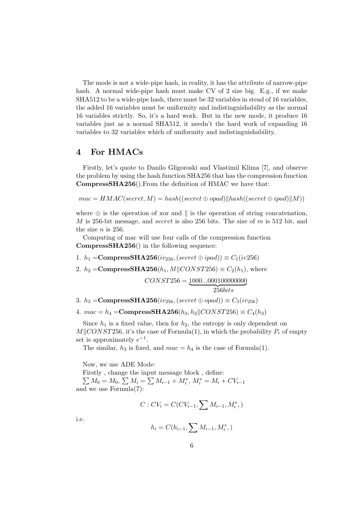The mode is not a wide-pipe hash, in reality, it has the attribute of narrow-pipe hash. A normal wide-pipe hash must make CV of 2 size big. E.g., if we make SHA512 to be a wide-pipe hash, there must be 32 variables in stead of 16 variables, the added 16 variables must be uniformity and indistinguishability as the normal 16 variables strictly. So, it's a hard work. But in the new mode, it produce 16 variables just as a normal SHA512, it needn't the hard work of expanding 16 variables to 32 variables which of uniformity and indistinguishability.

#### 4 For HMACs

Firstly, let's quote to Danilo Gligoroski and Vlastimil Klima [7], and observe the problem by using the hash function SHA256 that has the compression function CompressSHA256().From the definition of HMAC we have that:

 $mac = HMAC(secret, M) = hash((secret \oplus opad)||hash((secret \oplus ipad)||M))$ 

where  $\oplus$  is the operation of xor and  $\parallel$  is the operation of string concatenation, M is 256-bit message, and secret is also 256 bits. The size of  $m$  is 512 bit, and the size  $n$  is 256.

Computing of mac will use four calls of the compression function CompressSHA256() in the following sequence:

- 1.  $h_1 = \text{CompressSHA256}(iv_{256},(secret \oplus ipad)) \equiv C_1(iv256)$
- 2.  $h_2 = \text{CompressSHA256}(h_1, M \parallel CONST256) \equiv C_2(h_1)$ , where

$$
CONST256 = \underbrace{1000...000100000000}_{256bits}
$$

3. h<sub>3</sub> = **CompressSHA256**( $iv_{256}$ , (secret  $\oplus$  opad))  $\equiv C_3(iv_{256})$ 

4.  $mac = h_4 = \text{CompressSHA256}(h_3, h_2 \parallel CONST256) \equiv C_4(h_3)$ 

Since  $h_1$  is a fixed value, then for  $h_2$ , the entropy is only dependent on  $M\parallel$ CONST256, it's the case of Formula(1), in which the probability  $P_r$  of empty set is approximately  $e^{-1}$ .

The similar,  $h_3$  is fixed, and  $mac = h_4$  is the case of Formula(1).

Now, we use ADE Mode:

Firstly , change the input message block , define:  $\sum M_0 = M_0$ ,  $\sum M_i = \sum M_{i-1} + M_i^*$ ,  $M_i^* = M_i + CV_{i-1}$ and we use Formula(7):

$$
C: CV_i = C(CV_{i-1}, \sum M_{i-1}, M_i^*),
$$

i.e.

$$
h_i = C(h_{i-1}, \sum M_{i-1}, M_i^*,)
$$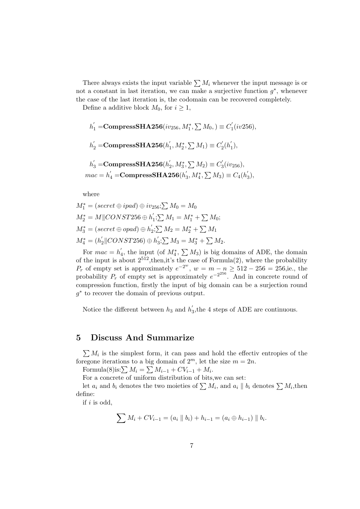There always exists the input variable  $\sum M_i$  whenever the input message is or not a constant in last iteration, we can make a surjective function  $g^*$ , whenever the case of the last iteration is, the codomain can be recovered completely.

Define a additive block  $M_0$ , for  $i \geq 1$ ,

$$
h'_1 = \text{CompressSHA256}(iv_{256}, M_1^*, \sum M_0) \equiv C'_1(iv_{256}),
$$
  
\n
$$
h'_2 = \text{CompressSHA256}(h'_1, M_2^*, \sum M_1) \equiv C'_2(h'_1),
$$
  
\n
$$
h'_3 = \text{CompressSHA256}(h'_2, M_3^*, \sum M_2) \equiv C'_3(iv_{256}),
$$
  
\n
$$
mac = h'_4 = \text{CompressSHA256}(h'_3, M_4^*, \sum M_3) \equiv C_4(h'_3),
$$

where

$$
M_1^* = (secret \oplus ipad) \oplus iv_{256}; \sum M_0 = M_0
$$
  
\n
$$
M_2^* = M \parallel CONST256 \oplus h_1'; \sum M_1 = M_1^* + \sum M_0;
$$
  
\n
$$
M_3^* = (secret \oplus opad) \oplus h_2'; \sum M_2 = M_2^* + \sum M_1
$$
  
\n
$$
M_4^* = (h_2' \parallel CONST256) \oplus h_3'; \sum M_3 = M_3^* + \sum M_2.
$$

For  $mac = h'_a$  $'_{4}$ , the input (of  $M_{4}^{*}$ ,  $\sum M_{3}$ ) is big domains of ADE, the domain of the input is about  $2^{512}$ , then, it's the case of Formula(2), where the probability  $P_r$  of empty set is approximately  $e^{-2w}$ ,  $w = m - n \ge 512 - 256 = 256$ , i.e., the probability  $P_r$  of empty set is approximately  $e^{-2^{256}}$ . And in concrete round of compression function, firstly the input of big domain can be a surjection round g<sup>∗</sup> to recover the domain of previous output.

Notice the different between  $h_3$  and  $h'_3$  $\sigma_3$ , the 4 steps of ADE are continuous.

#### 5 Discuss And Summarize

 $\sum M_i$  is the simplest form, it can pass and hold the effectiv entropies of the foregone iterations to a big domain of  $2^m$ , let the size  $m = 2n$ .

Formula(8)is: $\sum M_i = \sum M_{i-1} + CV_{i-1} + M_i$ .

For a concrete of uniform distribution of bits,we can set:

let  $a_i$  and  $b_i$  denotes the two moieties of  $\sum M_i$ , and  $a_i \parallel b_i$  denotes  $\sum M_i$ , then define:

if  $i$  is odd,

$$
\sum M_i + CV_{i-1} = (a_i \parallel b_i) + h_{i-1} = (a_i \oplus h_{i-1}) \parallel b_i.
$$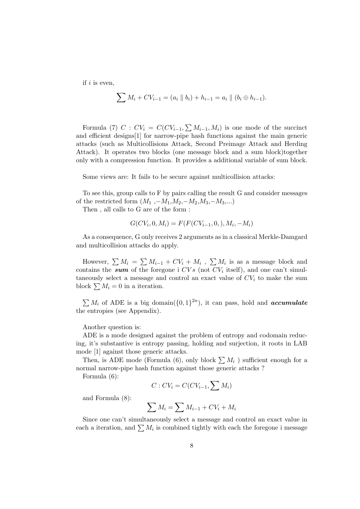if  $i$  is even,

$$
\sum M_i + CV_{i-1} = (a_i \parallel b_i) + h_{i-1} = a_i \parallel (b_i \oplus h_{i-1}).
$$

Formula (7)  $C: CV_i = C(CV_{i-1}, \sum M_{i-1}, M_i)$  is one mode of the succinct and efficient designs[1] for narrow-pipe hash functions against the main generic attacks (such as Multicollisions Attack, Second Preimage Attack and Herding Attack). It operates two blocks (one message block and a sum block)together only with a compression function. It provides a additional variable of sum block.

Some views are: It fails to be secure against multicollision attacks:

To see this, group calls to F by pairs calling the result G and consider messages of the restricted form  $(M_1, -M_1, M_2, -M_2, M_3, -M_3,...)$ 

Then , all calls to G are of the form :

$$
G(CV_i, 0, M_i) = F(F(CV_{i-1}, 0, ), M_i, -M_i)
$$

As a consequence, G only receives 2 arguments as in a classical Merkle-Damgard and multicollision attacks do apply.

However,  $\sum M_i = \sum M_{i-1} + CV_i + M_i$ ,  $\sum M_i$  is as a message block and contains the sum of the foregone i  $CVs$  (not  $CV<sub>i</sub>$  itself), and one can't simultaneously select a message and control an exact value of  $CV_i$  to make the sum block  $\sum M_i = 0$  in a iteration.

 $\sum M_i$  of ADE is a big domain( $\{0,1\}^{2n}$ ), it can pass, hold and **accumulate** the entropies (see Appendix).

Another question is:

ADE is a mode designed against the problem of entropy and codomain reducing, it's substantive is entropy passing, holding and surjection, it roots in LAB mode [1] against those generic attacks.

Then, is ADE mode (Formula (6), only block  $\sum M_i$ ) sufficient enough for a normal narrow-pipe hash function against those generic attacks ?

Formula (6):

$$
C: CV_i = C(CV_{i-1}, \sum M_i)
$$

and Formula (8):

$$
\sum M_i = \sum M_{i-1} + CV_i + M_i
$$

Since one can't simultaneously select a message and control an exact value in each a iteration, and  $\sum M_i$  is combined tightly with each the foregone i message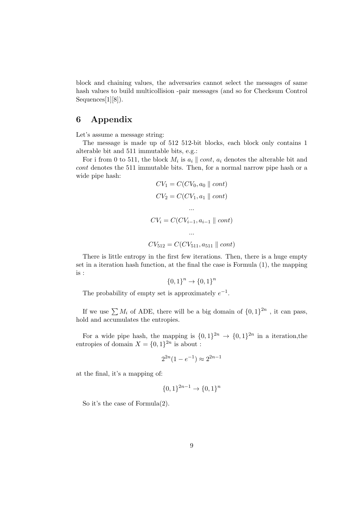block and chaining values, the adversaries cannot select the messages of same hash values to build multicollision -pair messages (and so for Checksum Control Sequences[1][8]).

## 6 Appendix

Let's assume a message string:

The message is made up of 512 512-bit blocks, each block only contains 1 alterable bit and 511 immutable bits, e.g.:

For i from 0 to 511, the block  $M_i$  is  $a_i \parallel cont$ ,  $a_i$  denotes the alterable bit and cont denotes the 511 immutable bits. Then, for a normal narrow pipe hash or a wide pipe hash:

$$
CV_1 = C(CV_0, a_0 \parallel cont)
$$
  
\n
$$
CV_2 = C(CV_1, a_1 \parallel cont)
$$
  
\n...  
\n
$$
CV_i = C(CV_{i-1}, a_{i-1} \parallel cont)
$$
  
\n...  
\n
$$
CV_{512} = C(CV_{511}, a_{511} \parallel cont)
$$

There is little entropy in the first few iterations. Then, there is a huge empty set in a iteration hash function, at the final the case is Formula (1), the mapping is :

$$
\{0,1\}^n \to \{0,1\}^n
$$

The probability of empty set is approximately  $e^{-1}$ .

If we use  $\sum M_i$  of ADE, there will be a big domain of  $\{0,1\}^{2n}$ , it can pass, hold and accumulates the entropies.

For a wide pipe hash, the mapping is  $\{0,1\}^{2n} \to \{0,1\}^{2n}$  in a iteration, the entropies of domain  $X = \{0, 1\}^{2n}$  is about :

$$
2^{2n}(1 - e^{-1}) \approx 2^{2n-1}
$$

at the final, it's a mapping of:

$$
\{0,1\}^{2n-1} \to \{0,1\}^n
$$

So it's the case of Formula(2).